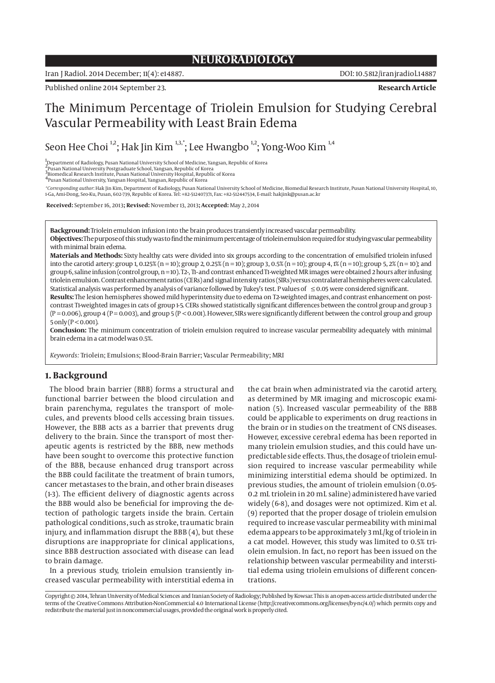## **NEURORADIOLOGY**

Iran J Radiol. 2014 December; 11(4): e14887. DOI: 10.5812/iranjradiol.14887

Published online 2014 September 23. **Research Article**

# The Minimum Percentage of Triolein Emulsion for Studying Cerebral Vascular Permeability with Least Brain Edema

Seon Hee Choi <sup>1,2</sup>; Hak Jin Kim <sup>1,3,\*</sup>; Lee Hwangbo<sup>1,2</sup>; Yong-Woo Kim <sup>1,4</sup>

1 Department of Radiology, Pusan National University School of Medicine, Yangsan, Republic of Korea

2 Pusan National University Postgraduate School, Yangsan, Republic of Korea

3<br>Biomedical Research Institute, Pusan National University Hospital, Republic of Korea<br><sup>4</sup>Pusan National University, Yangsan Hospital, Yangsan, Republic of Korea

*\*Corresponding author*: Hak Jin Kim, Department of Radiology, Pusan National University School of Medicine, Biomedial Research Institute, Pusan National University Hospital, 10, 1-Ga, Ami-Dong, Seo-Ku, Pusan, 602-739, Republic of Korea. Tel: +82-512407371, Fax: +82-512447534, E-mail: hakjink@pusan.ac.kr

 **Received:** September 16, 2013**; Revised:** November 13, 2013**; Accepted:** May 2, 2014

**Background:** Triolein emulsion infusion into the brain produces transiently increased vascular permeability. **Objectives:** The purpose of this study was to find the minimum percentage of triolein emulsion required for studying vascular permeability

with minimal brain edema. **Materials and Methods:** Sixty healthy cats were divided into six groups according to the concentration of emulsified triolein infused

into the carotid artery: group 1, 0.125% (n = 10); group 2, 0.25% (n = 10); group 3, 0.5% (n = 10); group 4, 1% (n = 10); group 5, 2% (n = 10); and group 6, saline infusion (control group, n = 10). T2-, T1- and contrast enhanced T1-weighted MR images were obtained 2 hours after infusing triolein emulsion. Contrast enhancement ratios (CERs) and signal intensity ratios (SIRs) versus contralateral hemispheres were calculated. Statistical analysis was performed by analysis of variance followed by Tukey's test. P values of ≤ 0.05 were considered significant.

**Results:** The lesion hemispheres showed mild hyperintensity due to edema on T2-weighted images, and contrast enhancement on postcontrast T1-weighted images in cats of group 1-5. CERs showed statistically significant differences between the control group and group 3  $(P = 0.006)$ , group 4  $(P = 0.003)$ , and group 5  $(P < 0.001)$ . However, SIRs were significantly different between the control group and group  $5$  only (P < 0.001).

**Conclusion:** The minimum concentration of triolein emulsion required to increase vascular permeability adequately with minimal brain edema in a cat model was 0.5%.

*Keywords:* Triolein; Emulsions; Blood-Brain Barrier; Vascular Permeability; MRI

## **1. Background**

The blood brain barrier (BBB) forms a structural and functional barrier between the blood circulation and brain parenchyma, regulates the transport of molecules, and prevents blood cells accessing brain tissues. However, the BBB acts as a barrier that prevents drug delivery to the brain. Since the transport of most therapeutic agents is restricted by the BBB, new methods have been sought to overcome this protective function of the BBB, because enhanced drug transport across the BBB could facilitate the treatment of brain tumors, cancer metastases to the brain, and other brain diseases (1-3). The efficient delivery of diagnostic agents across the BBB would also be beneficial for improving the detection of pathologic targets inside the brain. Certain pathological conditions, such as stroke, traumatic brain injury, and inflammation disrupt the BBB (4), but these disruptions are inappropriate for clinical applications, since BBB destruction associated with disease can lead to brain damage.

In a previous study, triolein emulsion transiently increased vascular permeability with interstitial edema in the cat brain when administrated via the carotid artery, as determined by MR imaging and microscopic examination (5). Increased vascular permeability of the BBB could be applicable to experiments on drug reactions in the brain or in studies on the treatment of CNS diseases. However, excessive cerebral edema has been reported in many triolein emulsion studies, and this could have unpredictable side effects. Thus, the dosage of triolein emulsion required to increase vascular permeability while minimizing interstitial edema should be optimized. In previous studies, the amount of triolein emulsion (0.05- 0.2 mL triolein in 20 mL saline) administered have varied widely (6-8), and dosages were not optimized. Kim et al. (9) reported that the proper dosage of triolein emulsion required to increase vascular permeability with minimal edema appears to be approximately 3 mL/kg of triolein in a cat model. However, this study was limited to 0.5% triolein emulsion. In fact, no report has been issued on the relationship between vascular permeability and interstitial edema using triolein emulsions of different concentrations.

Copyright © 2014, Tehran University of Medical Sciences and Iranian Society of Radiology; Published by Kowsar. This is an open-access article distributed under the terms of the Creative Commons Attribution-NonCommercial 4.0 International License (http://creativecommons.org/licenses/by-nc/4.0/) which permits copy and redistribute the material just in noncommercial usages, provided the original work is properly cited.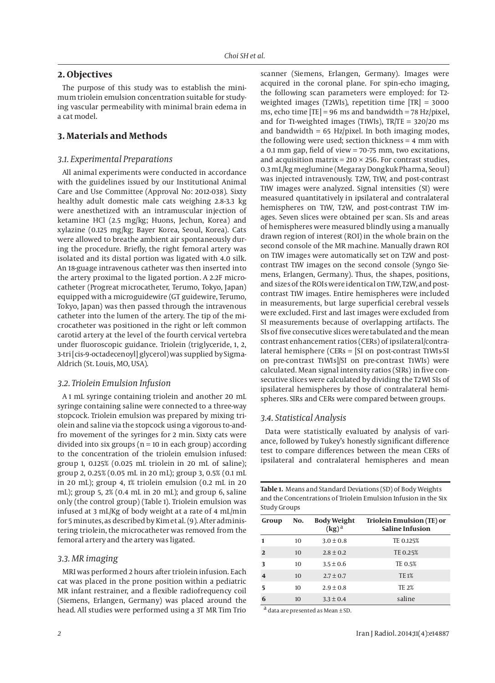## **2. Objectives**

The purpose of this study was to establish the minimum triolein emulsion concentration suitable for studying vascular permeability with minimal brain edema in a cat model.

## **3. Materials and Methods**

### *3.1. Experimental Preparations*

All animal experiments were conducted in accordance with the guidelines issued by our Institutional Animal Care and Use Committee (Approval No: 2012-038). Sixty healthy adult domestic male cats weighing 2.8-3.3 kg were anesthetized with an intramuscular injection of ketamine HCl (2.5 mg/kg; Huons, Jechun, Korea) and xylazine (0.125 mg/kg; Bayer Korea, Seoul, Korea). Cats were allowed to breathe ambient air spontaneously during the procedure. Briefly, the right femoral artery was isolated and its distal portion was ligated with 4.0 silk. An 18-guage intravenous catheter was then inserted into the artery proximal to the ligated portion. A 2.2F microcatheter (Progreat microcatheter, Terumo, Tokyo, Japan) equipped with a microguidewire (GT guidewire, Terumo, Tokyo, Japan) was then passed through the intravenous catheter into the lumen of the artery. The tip of the microcatheter was positioned in the right or left common carotid artery at the level of the fourth cervical vertebra under fluoroscopic guidance. Triolein (triglyceride, 1, 2, 3-tri [cis-9-octadecenoyl] glycerol) was supplied by Sigma-Aldrich (St. Louis, MO, USA).

#### *3.2. Triolein Emulsion Infusion*

A 1 mL syringe containing triolein and another 20 mL syringe containing saline were connected to a three-way stopcock. Triolein emulsion was prepared by mixing triolein and saline via the stopcock using a vigorous to-andfro movement of the syringes for 2 min. Sixty cats were divided into six groups ( $n = 10$  in each group) according to the concentration of the triolein emulsion infused: group 1, 0.125% (0.025 mL triolein in 20 mL of saline); group 2, 0.25% (0.05 mL in 20 mL); group 3, 0.5% (0.1 mL in 20 mL); group 4, 1% triolein emulsion (0.2 mL in 20 mL); group 5, 2% (0.4 mL in 20 mL); and group 6, saline only (the control group) (Table 1). Triolein emulsion was infused at 3 mL/Kg of body weight at a rate of 4 mL/min for 5 minutes, as described by Kim et al. (9). After administering triolein, the microcatheter was removed from the femoral artery and the artery was ligated.

#### *3.3. MR imaging*

MRI was performed 2 hours after triolein infusion. Each cat was placed in the prone position within a pediatric MR infant restrainer, and a flexible radiofrequency coil (Siemens, Erlangen, Germany) was placed around the head. All studies were performed using a 3T MR Tim Trio scanner (Siemens, Erlangen, Germany). Images were acquired in the coronal plane. For spin-echo imaging, the following scan parameters were employed: for T2 weighted images (T2WIs), repetition time [TR] = 3000 ms, echo time  $[TE] = 96$  ms and bandwidth = 78 Hz/pixel, and for T1-weighted images (T1WIs), TR/TE = 320/20 ms and bandwidth  $= 65$  Hz/pixel. In both imaging modes, the following were used; section thickness = 4 mm with a 0.1 mm gap, field of view = 70-75 mm, two excitations, and acquisition matrix =  $210 \times 256$ . For contrast studies, 0.3 mL/kg meglumine (Megaray Dongkuk Pharma, Seoul) was injected intravenously. T2W, T1W, and post-contrast T1W images were analyzed. Signal intensities (SI) were measured quantitatively in ipsilateral and contralateral hemispheres on T1W, T2W, and post-contrast T1W images. Seven slices were obtained per scan. SIs and areas of hemispheres were measured blindly using a manually drawn region of interest (ROI) in the whole brain on the second console of the MR machine. Manually drawn ROI on T1W images were automatically set on T2W and postcontrast T1W images on the second console (Syngo Siemens, Erlangen, Germany). Thus, the shapes, positions, and sizes of the ROIs were identical on T1W, T2W, and postcontrast T1W images. Entire hemispheres were included in measurements, but large superficial cerebral vessels were excluded. First and last images were excluded from SI measurements because of overlapping artifacts. The SIs of five consecutive slices were tabulated and the mean contrast enhancement ratios (CERs) of ipsilateral/contralateral hemisphere (CERs = [SI on post-contrast T1WIs-SI on pre-contrast T1WIs]/SI on pre-contrast T1WIs) were calculated. Mean signal intensity ratios (SIRs) in five consecutive slices were calculated by dividing the T2WI SIs of ipsilateral hemispheres by those of contralateral hemispheres. SIRs and CERs were compared between groups.

#### *3.4. Statistical Analysis*

Data were statistically evaluated by analysis of variance, followed by Tukey's honestly significant difference test to compare differences between the mean CERs of ipsilateral and contralateral hemispheres and mean

**Table 1.** Means and Standard Deviations (SD) of Body Weights and the Concentrations of Triolein Emulsion Infusion in the Six Study Groups

| Group                   | No. | <b>Body Weight</b><br>$(\mathbf{kg})^{\mathrm{a}}$ | Triolein Emulsion (TE) or<br><b>Saline Infusion</b> |
|-------------------------|-----|----------------------------------------------------|-----------------------------------------------------|
|                         | 10  | $3.0 \pm 0.8$                                      | TE 0.125%                                           |
| $\mathbf{D}$            | 10  | $2.8 \pm 0.2$                                      | TE 0.25%                                            |
| 3                       | 10  | $3.5 \pm 0.6$                                      | TE 0.5%                                             |
| $\overline{\mathbf{4}}$ | 10  | $2.7 \pm 0.7$                                      | <b>TE1%</b>                                         |
| 5                       | 10  | $2.9 \pm 0.8$                                      | <b>TE 2%</b>                                        |
| 6                       | 10  | $3.3 \pm 0.4$                                      | saline                                              |

 $a$  data are presented as Mean  $\pm$  SD.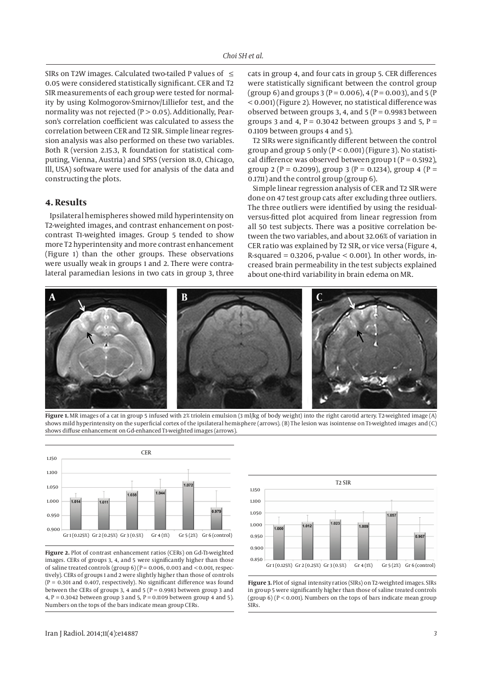SIRs on T2W images. Calculated two-tailed P values of  $\leq$ 0.05 were considered statistically significant. CER and T2 SIR measurements of each group were tested for normality by using Kolmogorov-Smirnov/Lilliefor test, and the normality was not rejected  $(P > 0.05)$ . Additionally, Pearson's correlation coefficient was calculated to assess the correlation between CER and T2 SIR. Simple linear regression analysis was also performed on these two variables. Both R (version 2.15.3, R foundation for statistical computing, Vienna, Austria) and SPSS (version 18.0, Chicago, Ill, USA) software were used for analysis of the data and constructing the plots.

## **4. Results**

Ipsilateral hemispheres showed mild hyperintensity on T2-weighted images, and contrast enhancement on postcontrast T1-weighted images. Group 5 tended to show more T2 hyperintensity and more contrast enhancement (Figure 1) than the other groups. These observations were usually weak in groups 1 and 2. There were contralateral paramedian lesions in two cats in group 3, three cats in group 4, and four cats in group 5. CER differences were statistically significant between the control group (group 6) and groups 3 (P = 0.006), 4 (P = 0.003), and 5 (P < 0.001) (Figure 2). However, no statistical difference was observed between groups 3, 4, and  $5 (P = 0.9983)$  between groups 3 and 4,  $P = 0.3042$  between groups 3 and 5,  $P =$ 0.1109 between groups 4 and 5).

T2 SIRs were significantly different between the control group and group 5 only ( $P < 0.001$ ) (Figure 3). No statistical difference was observed between group  $1 (P = 0.5192)$ , group 2 (P = 0.2099), group 3 (P = 0.1234), group 4 (P = 0.1711) and the control group (group 6).

Simple linear regression analysis of CER and T2 SIR were done on 47 test group cats after excluding three outliers. The three outliers were identified by using the residualversus-fitted plot acquired from linear regression from all 50 test subjects. There was a positive correlation between the two variables, and about 32.06% of variation in CER ratio was explained by T2 SIR, or vice versa (Figure 4, R-squared =  $0.3206$ , p-value <  $0.001$ ). In other words, increased brain permeability in the test subjects explained about one-third variability in brain edema on MR.



**Figure 1.** MR images of a cat in group 5 infused with 2% triolein emulsion (3 ml/kg of body weight) into the right carotid artery. T2-weighted image (A) shows mild hyperintensity on the superficial cortex of the ipsilateral hemisphere (arrows). (B) The lesion was isointense on T1-weighted images and (C) shows diffuse enhancement on Gd-enhanced T1-weighted images (arrows).



**Figure 2.** Plot of contrast enhancement ratios (CERs) on Gd-T1-weighted images. CERs of groups 3, 4, and 5 were significantly higher than those of saline treated controls (group  $6$ ) (P = 0.006, 0.003 and < 0.001, respectively). CERs of groups 1 and 2 were slightly higher than those of controls  $(P = 0.301$  and 0.407, respectively). No significant difference was found between the CERs of groups 3, 4 and 5 ( $P = 0.9983$  between group 3 and 4,  $P = 0.3042$  between group 3 and 5,  $P = 0.1109$  between group 4 and 5). Numbers on the tops of the bars indicate mean group CERs.



**Figure 3.** Plot of signal intensity ratios (SIRs) on T2-weighted images. SIRs in group 5 were significantly higher than those of saline treated controls  $(group 6) (P < 0.001)$ . Numbers on the tops of bars indicate mean group **SIRs.**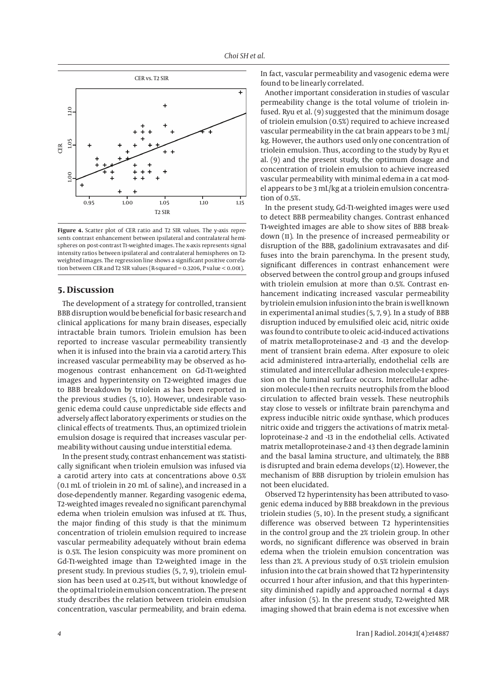

**Figure 4.** Scatter plot of CER ratio and T2 SIR values. The y-axis represents contrast enhancement between ipsilateral and contralateral hemispheres on post-contrast T1-weighted images. The x-axis represents signal intensity ratios between ipsilateral and contralateral hemispheres on T2 weighted images. The regression line shows a significant positive correlation between CER and T2 SIR values (R-squared = 0.3206, P value < 0.001).

## **5. Discussion**

The development of a strategy for controlled, transient BBB disruption would be beneficial for basic research and clinical applications for many brain diseases, especially intractable brain tumors. Triolein emulsion has been reported to increase vascular permeability transiently when it is infused into the brain via a carotid artery. This increased vascular permeability may be observed as homogenous contrast enhancement on Gd-T1-weighted images and hyperintensity on T2-weighted images due to BBB breakdown by triolein as has been reported in the previous studies (5, 10). However, undesirable vasogenic edema could cause unpredictable side effects and adversely affect laboratory experiments or studies on the clinical effects of treatments. Thus, an optimized triolein emulsion dosage is required that increases vascular permeability without causing undue interstitial edema.

In the present study, contrast enhancement was statistically significant when triolein emulsion was infused via a carotid artery into cats at concentrations above 0.5% (0.1 mL of triolein in 20 mL of saline), and increased in a dose-dependently manner. Regarding vasogenic edema, T2-weighted images revealed no significant parenchymal edema when triolein emulsion was infused at 1%. Thus, the major finding of this study is that the minimum concentration of triolein emulsion required to increase vascular permeability adequately without brain edema is 0.5%. The lesion conspicuity was more prominent on Gd-T1-weighted image than T2-weighted image in the present study. In previous studies (5, 7, 9), triolein emulsion has been used at 0.25-1%, but without knowledge of the optimal triolein emulsion concentration. The present study describes the relation between triolein emulsion concentration, vascular permeability, and brain edema. In fact, vascular permeability and vasogenic edema were found to be linearly correlated.

Another important consideration in studies of vascular permeability change is the total volume of triolein infused. Ryu et al. (9) suggested that the minimum dosage of triolein emulsion (0.5%) required to achieve increased vascular permeability in the cat brain appears to be 3 mL/ kg. However, the authors used only one concentration of triolein emulsion. Thus, according to the study by Ryu et al. (9) and the present study, the optimum dosage and concentration of triolein emulsion to achieve increased vascular permeability with minimal edema in a cat model appears to be 3 mL/kg at a triolein emulsion concentration of  $0.5%$ 

In the present study, Gd-T1-weighted images were used to detect BBB permeability changes. Contrast enhanced T1-weighted images are able to show sites of BBB breakdown (11). In the presence of increased permeability or disruption of the BBB, gadolinium extravasates and diffuses into the brain parenchyma. In the present study, significant differences in contrast enhancement were observed between the control group and groups infused with triolein emulsion at more than 0.5%. Contrast enhancement indicating increased vascular permeability by triolein emulsion infusion into the brain is well known in experimental animal studies (5, 7, 9). In a study of BBB disruption induced by emulsified oleic acid, nitric oxide was found to contribute to oleic acid-induced activations of matrix metalloproteinase-2 and -13 and the development of transient brain edema. After exposure to oleic acid administered intra-arterially, endothelial cells are stimulated and intercellular adhesion molecule-1 expression on the luminal surface occurs. Intercellular adhesion molecule-1 then recruits neutrophils from the blood circulation to affected brain vessels. These neutrophils stay close to vessels or infiltrate brain parenchyma and express inducible nitric oxide synthase, which produces nitric oxide and triggers the activations of matrix metalloproteinase-2 and -13 in the endothelial cells. Activated matrix metalloproteinase-2 and -13 then degrade laminin and the basal lamina structure, and ultimately, the BBB is disrupted and brain edema develops (12). However, the mechanism of BBB disruption by triolein emulsion has not been elucidated.

Observed T2 hyperintensity has been attributed to vasogenic edema induced by BBB breakdown in the previous triolein studies (5, 10). In the present study, a significant difference was observed between T2 hyperintensities in the control group and the 2% triolein group. In other words, no significant difference was observed in brain edema when the triolein emulsion concentration was less than 2%. A previous study of 0.5% triolein emulsion infusion into the cat brain showed that T2 hyperintensity occurred 1 hour after infusion, and that this hyperintensity diminished rapidly and approached normal 4 days after infusion (5). In the present study, T2-weighted MR imaging showed that brain edema is not excessive when